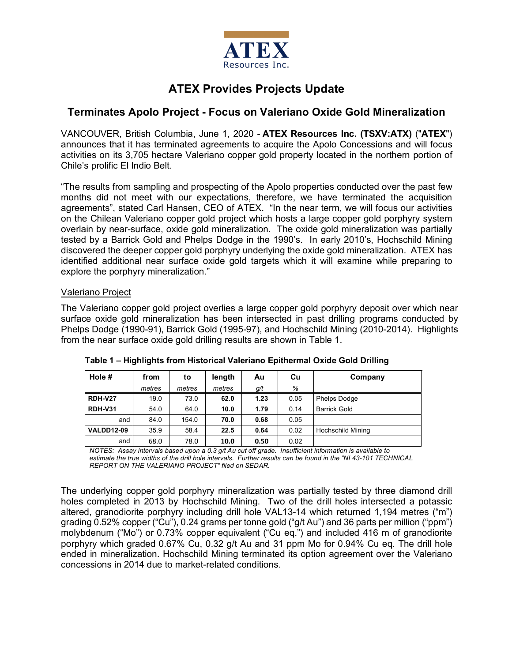

# **ATEX Provides Projects Update**

# **Terminates Apolo Project - Focus on Valeriano Oxide Gold Mineralization**

VANCOUVER, British Columbia, June 1, 2020 - **ATEX Resources Inc. (TSXV:ATX)** ("**ATEX**") announces that it has terminated agreements to acquire the Apolo Concessions and will focus activities on its 3,705 hectare Valeriano copper gold property located in the northern portion of Chile's prolific El Indio Belt.

"The results from sampling and prospecting of the Apolo properties conducted over the past few months did not meet with our expectations, therefore, we have terminated the acquisition agreements", stated Carl Hansen, CEO of ATEX. "In the near term, we will focus our activities on the Chilean Valeriano copper gold project which hosts a large copper gold porphyry system overlain by near-surface, oxide gold mineralization. The oxide gold mineralization was partially tested by a Barrick Gold and Phelps Dodge in the 1990's. In early 2010's, Hochschild Mining discovered the deeper copper gold porphyry underlying the oxide gold mineralization. ATEX has identified additional near surface oxide gold targets which it will examine while preparing to explore the porphyry mineralization."

# Valeriano Project

The Valeriano copper gold project overlies a large copper gold porphyry deposit over which near surface oxide gold mineralization has been intersected in past drilling programs conducted by Phelps Dodge (1990-91), Barrick Gold (1995-97), and Hochschild Mining (2010-2014). Highlights from the near surface oxide gold drilling results are shown in Table 1.

| Hole $#$          | from   | to     | length | Au   | Cu   | Company                  |
|-------------------|--------|--------|--------|------|------|--------------------------|
|                   | metres | metres | metres | g/t  | %    |                          |
| <b>RDH-V27</b>    | 19.0   | 73.0   | 62.0   | 1.23 | 0.05 | Phelps Dodge             |
| <b>RDH-V31</b>    | 54.0   | 64.0   | 10.0   | 1.79 | 0.14 | <b>Barrick Gold</b>      |
| and               | 84.0   | 154.0  | 70.0   | 0.68 | 0.05 |                          |
| <b>VALDD12-09</b> | 35.9   | 58.4   | 22.5   | 0.64 | 0.02 | <b>Hochschild Mining</b> |
| and               | 68.0   | 78.0   | 10.0   | 0.50 | 0.02 |                          |

**Table 1 – Highlights from Historical Valeriano Epithermal Oxide Gold Drilling** 

*NOTES: Assay intervals based upon a 0.3 g/t Au cut off grade. Insufficient information is available to estimate the true widths of the drill hole intervals. Further results can be found in the "NI 43-101 TECHNICAL REPORT ON THE VALERIANO PROJECT" filed on SEDAR.*

The underlying copper gold porphyry mineralization was partially tested by three diamond drill holes completed in 2013 by Hochschild Mining. Two of the drill holes intersected a potassic altered, granodiorite porphyry including drill hole VAL13-14 which returned 1,194 metres ("m") grading 0.52% copper ("Cu"), 0.24 grams per tonne gold ("g/t Au") and 36 parts per million ("ppm") molybdenum ("Mo") or 0.73% copper equivalent ("Cu eq.") and included 416 m of granodiorite porphyry which graded 0.67% Cu, 0.32 g/t Au and 31 ppm Mo for 0.94% Cu eq. The drill hole ended in mineralization. Hochschild Mining terminated its option agreement over the Valeriano concessions in 2014 due to market-related conditions.